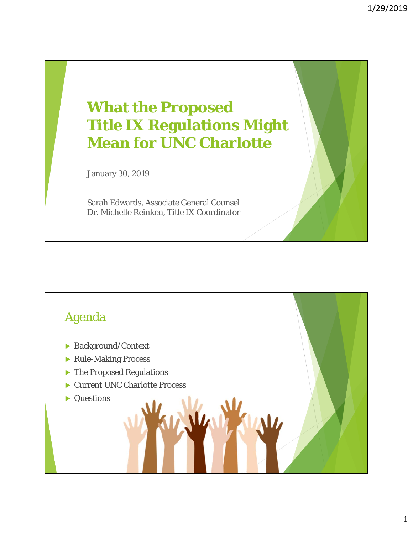# **What the Proposed Title IX Regulations Might Mean for UNC Charlotte**

January 30, 2019

Sarah Edwards, Associate General Counsel Dr. Michelle Reinken, Title IX Coordinator

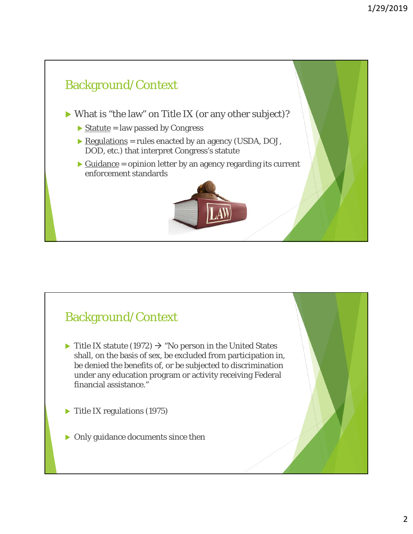

### Background/Context

- $\triangleright$  Title IX statute (1972)  $\rightarrow$  "No person in the United States shall, on the basis of sex, be excluded from participation in, be denied the benefits of, or be subjected to discrimination under any education program or activity receiving Federal financial assistance."
- Title IX regulations (1975)
- Only guidance documents since then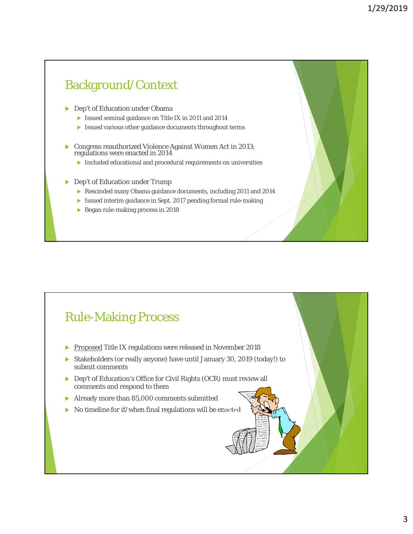## **Dep't of Education under Obama**  Issued seminal guidance on Title IX in 2011 and 2014 Issued various other guidance documents throughout terms Congress reauthorized Violence Against Women Act in 2013; regulations were enacted in 2014 Included educational and procedural requirements on universities ▶ Dep't of Education under Trump Rescinded many Obama guidance documents, including 2011 and 2014 Issued interim guidance in Sept. 2017 pending formal rule-making Began rule-making process in 2018 Background/Context

#### Rule-Making Process

- Proposed Title IX regulations were released in November 2018
- Stakeholders (or really anyone) have until January 30, 2019 (today!) to submit comments
- ▶ Dep't of Education's Office for Civil Rights (OCR) must review all comments and respond to them
- Already more than 85,000 comments submitted
- No timeline for if/when final regulations will be enacted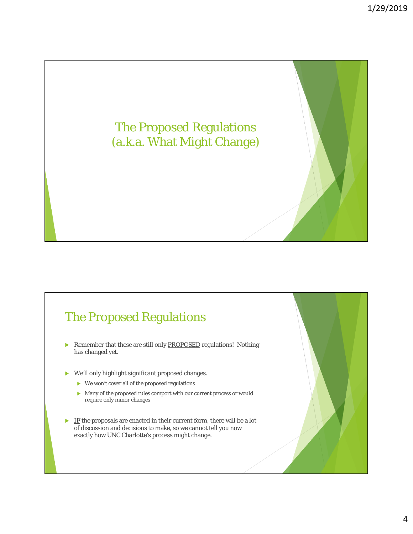

### The Proposed Regulations

- Remember that these are still only **PROPOSED** regulations! Nothing has changed yet.
- We'll only highlight significant proposed changes.
	- $\triangleright$  We won't cover all of the proposed regulations
	- Many of the proposed rules comport with our current process or would require only minor changes
- $\blacktriangleright$  IF the proposals are enacted in their current form, there will be a lot of discussion and decisions to make, so we cannot tell you now exactly how UNC Charlotte's process might change.

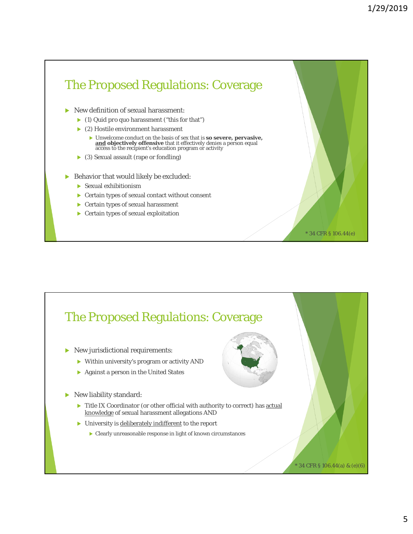\* 34 CFR § 106.44(e)

# The Proposed Regulations: Coverage New definition of sexual harassment: (1) *Quid pro quo* harassment ("this for that") ▶ (2) Hostile environment harassment Unwelcome conduct on the basis of sex that is **so severe, pervasive, and objectively offensive** that it effectively denies a person equal access to the recipient's education program or activity (3) Sexual assault (rape or fondling)

- Behavior that would likely be excluded:
	- Sexual exhibitionism
	- Certain types of sexual contact without consent
	- Certain types of sexual harassment
	- Certain types of sexual exploitation

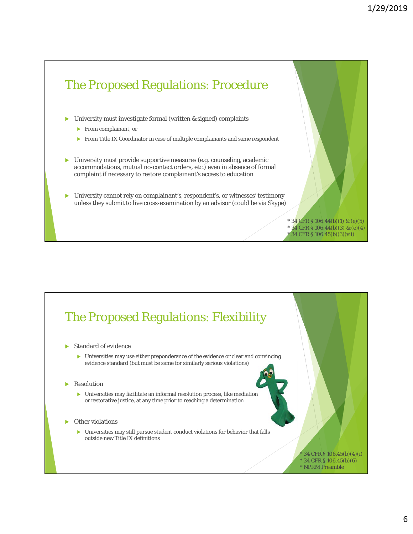

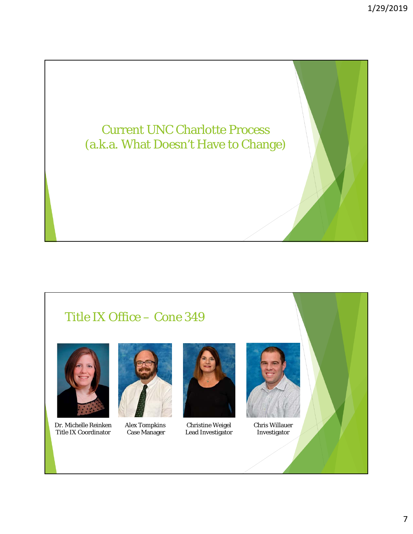

#### Title IX Office – Cone 349



Dr. Michelle Reinken Title IX Coordinator



Alex Tompkins Case Manager



Christine Weigel Lead Investigator



Chris Willauer Investigator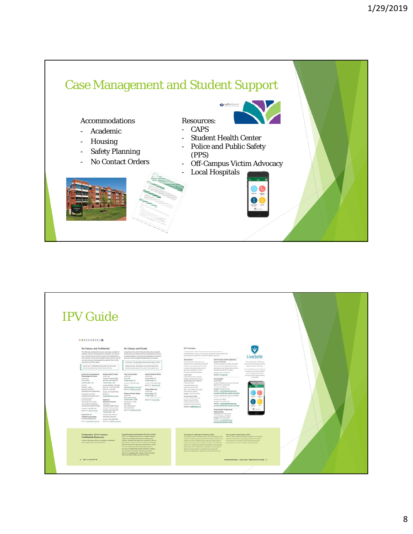

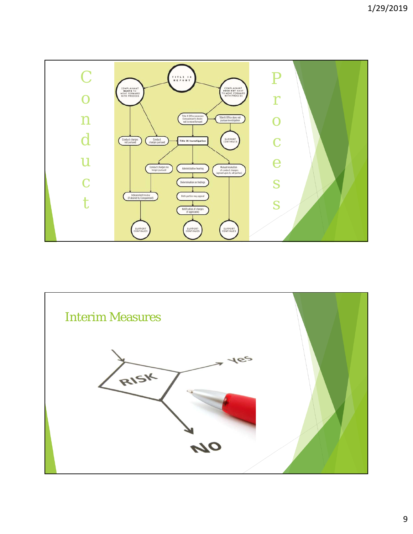

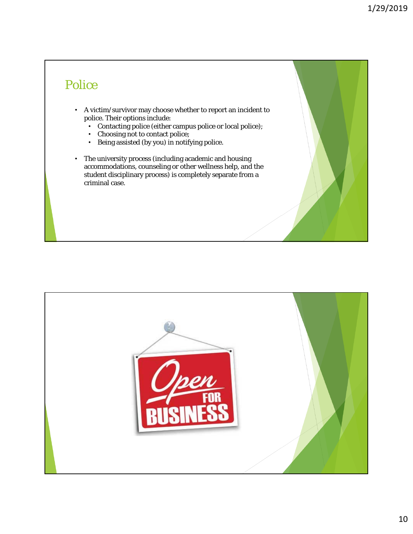## Police

- A victim/survivor may choose whether to report an incident to police. Their options include:
	- Contacting police (either campus police or local police);
	- Choosing not to contact police;
	- Being assisted (by you) in notifying police.
- The university process (including academic and housing accommodations, counseling or other wellness help, and the student disciplinary process) is completely separate from a criminal case.